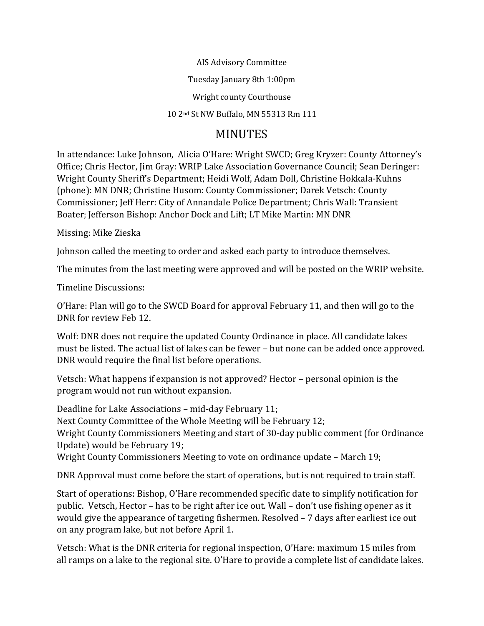AIS Advisory Committee

Tuesday January 8th 1:00pm

Wright county Courthouse

10 2nd St NW Buffalo, MN 55313 Rm 111

## MINUTES

In attendance: Luke Johnson, Alicia O'Hare: Wright SWCD; Greg Kryzer: County Attorney's Office; Chris Hector, Jim Gray: WRIP Lake Association Governance Council; Sean Deringer: Wright County Sheriff's Department; Heidi Wolf, Adam Doll, Christine Hokkala-Kuhns (phone): MN DNR; Christine Husom: County Commissioner; Darek Vetsch: County Commissioner; Jeff Herr: City of Annandale Police Department; Chris Wall: Transient Boater; Jefferson Bishop: Anchor Dock and Lift; LT Mike Martin: MN DNR

Missing: Mike Zieska

Johnson called the meeting to order and asked each party to introduce themselves.

The minutes from the last meeting were approved and will be posted on the WRIP website.

Timeline Discussions:

O'Hare: Plan will go to the SWCD Board for approval February 11, and then will go to the DNR for review Feb 12.

Wolf: DNR does not require the updated County Ordinance in place. All candidate lakes must be listed. The actual list of lakes can be fewer – but none can be added once approved. DNR would require the final list before operations.

Vetsch: What happens if expansion is not approved? Hector – personal opinion is the program would not run without expansion.

Deadline for Lake Associations – mid-day February 11; Next County Committee of the Whole Meeting will be February 12; Wright County Commissioners Meeting and start of 30-day public comment (for Ordinance Update) would be February 19; Wright County Commissioners Meeting to vote on ordinance update – March 19;

DNR Approval must come before the start of operations, but is not required to train staff.

Start of operations: Bishop, O'Hare recommended specific date to simplify notification for public. Vetsch, Hector – has to be right after ice out. Wall – don't use fishing opener as it would give the appearance of targeting fishermen. Resolved – 7 days after earliest ice out on any program lake, but not before April 1.

Vetsch: What is the DNR criteria for regional inspection, O'Hare: maximum 15 miles from all ramps on a lake to the regional site. O'Hare to provide a complete list of candidate lakes.